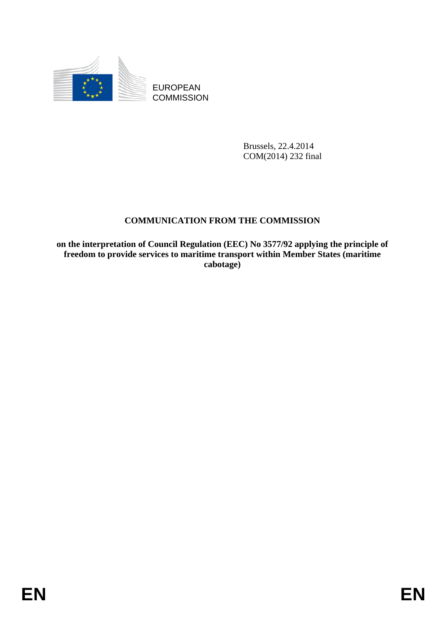

EUROPEAN **COMMISSION** 

> Brussels, 22.4.2014 COM(2014) 232 final

# **COMMUNICATION FROM THE COMMISSION**

**on the interpretation of Council Regulation (EEC) No 3577/92 applying the principle of freedom to provide services to maritime transport within Member States (maritime cabotage)**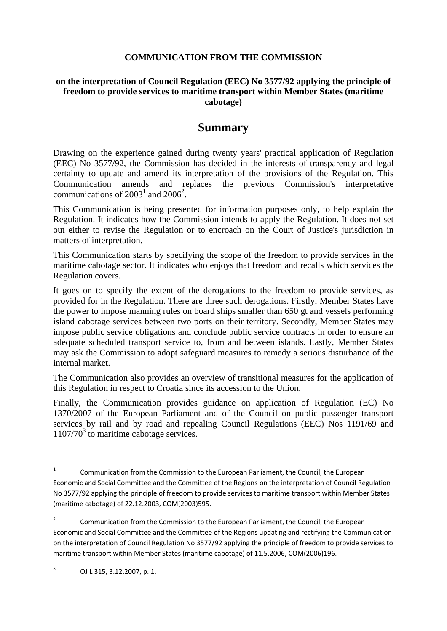## **COMMUNICATION FROM THE COMMISSION**

### **on the interpretation of Council Regulation (EEC) No 3577/92 applying the principle of freedom to provide services to maritime transport within Member States (maritime cabotage)**

# **Summary**

Drawing on the experience gained during twenty years' practical application of Regulation (EEC) No 3577/92, the Commission has decided in the interests of transparency and legal certainty to update and amend its interpretation of the provisions of the Regulation. This Communication amends and replaces the previous Commission's interpretative communications of  $2003^1$  and  $2006^2$ .

This Communication is being presented for information purposes only, to help explain the Regulation. It indicates how the Commission intends to apply the Regulation. It does not set out either to revise the Regulation or to encroach on the Court of Justice's jurisdiction in matters of interpretation.

This Communication starts by specifying the scope of the freedom to provide services in the maritime cabotage sector. It indicates who enjoys that freedom and recalls which services the Regulation covers.

It goes on to specify the extent of the derogations to the freedom to provide services, as provided for in the Regulation. There are three such derogations. Firstly, Member States have the power to impose manning rules on board ships smaller than 650 gt and vessels performing island cabotage services between two ports on their territory. Secondly, Member States may impose public service obligations and conclude public service contracts in order to ensure an adequate scheduled transport service to, from and between islands. Lastly, Member States may ask the Commission to adopt safeguard measures to remedy a serious disturbance of the internal market.

The Communication also provides an overview of transitional measures for the application of this Regulation in respect to Croatia since its accession to the Union.

Finally, the Communication provides guidance on application of Regulation (EC) No 1370/2007 of the European Parliament and of the Council on public passenger transport services by rail and by road and repealing Council Regulations (EEC) Nos 1191/69 and  $1107/70<sup>3</sup>$  to maritime cabotage services.

 $\frac{1}{1}$  Communication from the Commission to the European Parliament, the Council, the European Economic and Social Committee and the Committee of the Regions on the interpretation of Council Regulation No 3577/92 applying the principle of freedom to provide services to maritime transport within Member States (maritime cabotage) of 22.12.2003, COM(2003)595.

<sup>2</sup> Communication from the Commission to the European Parliament, the Council, the European Economic and Social Committee and the Committee of the Regions updating and rectifying the Communication on the interpretation of Council Regulation No 3577/92 applying the principle of freedom to provide services to maritime transport within Member States (maritime cabotage) of 11.5.2006, COM(2006)196.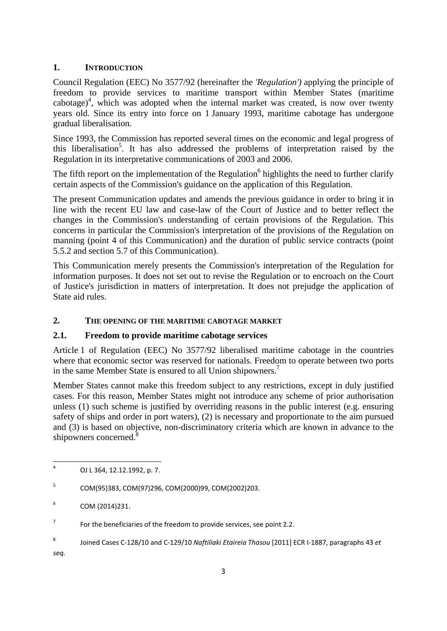## **1. INTRODUCTION**

Council Regulation (EEC) No 3577/92 (hereinafter the *'Regulation')* applying the principle of freedom to provide services to maritime transport within Member States (maritime cabotage)<sup>4</sup>, which was adopted when the internal market was created, is now over twenty years old. Since its entry into force on 1 January 1993, maritime cabotage has undergone gradual liberalisation.

Since 1993, the Commission has reported several times on the economic and legal progress of this liberalisation<sup>5</sup>. It has also addressed the problems of interpretation raised by the Regulation in its interpretative communications of 2003 and 2006.

The fifth report on the implementation of the Regulation<sup>6</sup> highlights the need to further clarify certain aspects of the Commission's guidance on the application of this Regulation.

The present Communication updates and amends the previous guidance in order to bring it in line with the recent EU law and case-law of the Court of Justice and to better reflect the changes in the Commission's understanding of certain provisions of the Regulation. This concerns in particular the Commission's interpretation of the provisions of the Regulation on manning (point 4 of this Communication) and the duration of public service contracts (point 5.5.2 and section 5.7 of this Communication).

This Communication merely presents the Commission's interpretation of the Regulation for information purposes. It does not set out to revise the Regulation or to encroach on the Court of Justice's jurisdiction in matters of interpretation. It does not prejudge the application of State aid rules.

## **2. THE OPENING OF THE MARITIME CABOTAGE MARKET**

## **2.1. Freedom to provide maritime cabotage services**

Article 1 of Regulation (EEC) No 3577/92 liberalised maritime cabotage in the countries where that economic sector was reserved for nationals. Freedom to operate between two ports in the same Member State is ensured to all Union shipowners.<sup>7</sup>

Member States cannot make this freedom subject to any restrictions, except in duly justified cases. For this reason, Member States might not introduce any scheme of prior authorisation unless (1) such scheme is justified by overriding reasons in the public interest (e.g. ensuring safety of ships and order in port waters), (2) is necessary and proportionate to the aim pursued and (3) is based on objective, non-discriminatory criteria which are known in advance to the shipowners concerned.<sup>8</sup>

8 Joined Cases C-128/10 and C-129/10 *Naftiliaki Etaireia Thasou* [2011] ECR I-1887, paragraphs 43 *et* 

*seq.*

 $\frac{1}{4}$ OJ L 364, 12.12.1992, p. 7.

<sup>5</sup> COM(95)383, COM(97)296, COM(2000)99, COM(2002)203.

<sup>6</sup> COM (2014)231.

<sup>7</sup> For the beneficiaries of the freedom to provide services, see point 2.2.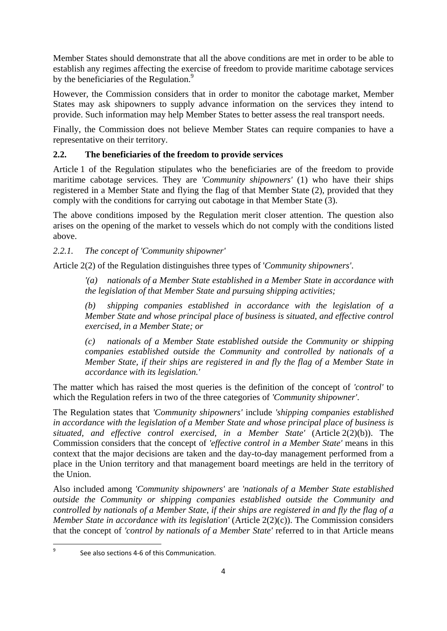Member States should demonstrate that all the above conditions are met in order to be able to establish any regimes affecting the exercise of freedom to provide maritime cabotage services by the beneficiaries of the Regulation.<sup>9</sup>

However, the Commission considers that in order to monitor the cabotage market, Member States may ask shipowners to supply advance information on the services they intend to provide. Such information may help Member States to better assess the real transport needs.

Finally, the Commission does not believe Member States can require companies to have a representative on their territory.

## **2.2. The beneficiaries of the freedom to provide services**

Article 1 of the Regulation stipulates who the beneficiaries are of the freedom to provide maritime cabotage services. They are *'Community shipowners'* (1) who have their ships registered in a Member State and flying the flag of that Member State (2), provided that they comply with the conditions for carrying out cabotage in that Member State (3).

The above conditions imposed by the Regulation merit closer attention. The question also arises on the opening of the market to vessels which do not comply with the conditions listed above.

### *2.2.1. The concept of 'Community shipowner'*

Article 2(2) of the Regulation distinguishes three types of '*Community shipowners'*.

*'(a) nationals of a Member State established in a Member State in accordance with the legislation of that Member State and pursuing shipping activities;* 

*(b) shipping companies established in accordance with the legislation of a Member State and whose principal place of business is situated, and effective control exercised, in a Member State; or* 

*(c) nationals of a Member State established outside the Community or shipping companies established outside the Community and controlled by nationals of a Member State, if their ships are registered in and fly the flag of a Member State in accordance with its legislation.'* 

The matter which has raised the most queries is the definition of the concept of *'control'* to which the Regulation refers in two of the three categories of *'Community shipowner'*.

The Regulation states that *'Community shipowners'* include *'shipping companies established in accordance with the legislation of a Member State and whose principal place of business is situated, and effective control exercised, in a Member State'* (Article 2(2)(b)). The Commission considers that the concept of *'effective control in a Member State'* means in this context that the major decisions are taken and the day-to-day management performed from a place in the Union territory and that management board meetings are held in the territory of the Union.

Also included among *'Community shipowners'* are *'nationals of a Member State established outside the Community or shipping companies established outside the Community and controlled by nationals of a Member State, if their ships are registered in and fly the flag of a Member State in accordance with its legislation'* (Article 2(2)(c)). The Commission considers that the concept of *'control by nationals of a Member State'* referred to in that Article means

ــ<br>9 See also sections 4-6 of this Communication.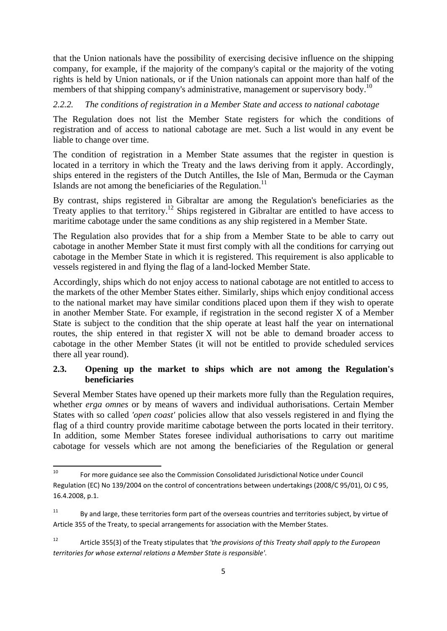that the Union nationals have the possibility of exercising decisive influence on the shipping company, for example, if the majority of the company's capital or the majority of the voting rights is held by Union nationals, or if the Union nationals can appoint more than half of the members of that shipping company's administrative, management or supervisory body.<sup>10</sup>

### *2.2.2. The conditions of registration in a Member State and access to national cabotage*

The Regulation does not list the Member State registers for which the conditions of registration and of access to national cabotage are met. Such a list would in any event be liable to change over time.

The condition of registration in a Member State assumes that the register in question is located in a territory in which the Treaty and the laws deriving from it apply. Accordingly, ships entered in the registers of the Dutch Antilles, the Isle of Man, Bermuda or the Cayman Islands are not among the beneficiaries of the Regulation.<sup>11</sup>

By contrast, ships registered in Gibraltar are among the Regulation's beneficiaries as the Treaty applies to that territory.<sup>12</sup> Ships registered in Gibraltar are entitled to have access to maritime cabotage under the same conditions as any ship registered in a Member State.

The Regulation also provides that for a ship from a Member State to be able to carry out cabotage in another Member State it must first comply with all the conditions for carrying out cabotage in the Member State in which it is registered. This requirement is also applicable to vessels registered in and flying the flag of a land-locked Member State.

Accordingly, ships which do not enjoy access to national cabotage are not entitled to access to the markets of the other Member States either. Similarly, ships which enjoy conditional access to the national market may have similar conditions placed upon them if they wish to operate in another Member State. For example, if registration in the second register X of a Member State is subject to the condition that the ship operate at least half the year on international routes, the ship entered in that register X will not be able to demand broader access to cabotage in the other Member States (it will not be entitled to provide scheduled services there all year round).

## **2.3. Opening up the market to ships which are not among the Regulation's beneficiaries**

Several Member States have opened up their markets more fully than the Regulation requires, whether *erga omnes* or by means of wavers and individual authorisations. Certain Member States with so called *'open coast'* policies allow that also vessels registered in and flying the flag of a third country provide maritime cabotage between the ports located in their territory. In addition, some Member States foresee individual authorisations to carry out maritime cabotage for vessels which are not among the beneficiaries of the Regulation or general

 $10$ 10 For more guidance see also the Commission Consolidated Jurisdictional Notice under Council Regulation (EC) No 139/2004 on the control of concentrations between undertakings (2008/C 95/01), OJ C 95, 16.4.2008, p.1.

 $11$  By and large, these territories form part of the overseas countries and territories subject, by virtue of Article 355 of the Treaty, to special arrangements for association with the Member States.

<sup>12</sup> Article 355(3) of the Treaty stipulates that *'the provisions of this Treaty shall apply to the European territories for whose external relations a Member State is responsible'*.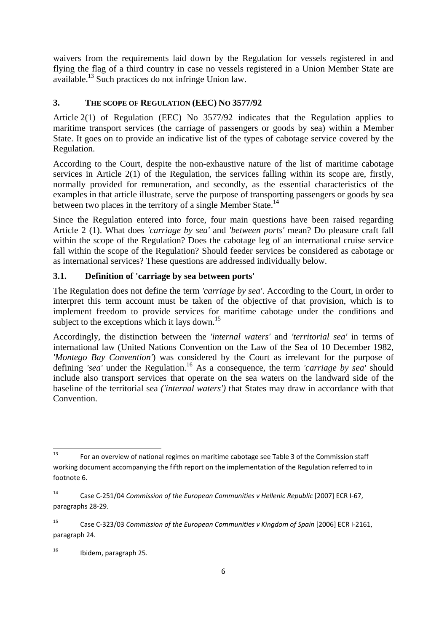waivers from the requirements laid down by the Regulation for vessels registered in and flying the flag of a third country in case no vessels registered in a Union Member State are available.<sup>13</sup> Such practices do not infringe Union law.

## **3. THE SCOPE OF REGULATION (EEC) NO 3577/92**

Article 2(1) of Regulation (EEC) No 3577/92 indicates that the Regulation applies to maritime transport services (the carriage of passengers or goods by sea) within a Member State. It goes on to provide an indicative list of the types of cabotage service covered by the Regulation.

According to the Court, despite the non-exhaustive nature of the list of maritime cabotage services in Article 2(1) of the Regulation, the services falling within its scope are, firstly, normally provided for remuneration, and secondly, as the essential characteristics of the examples in that article illustrate, serve the purpose of transporting passengers or goods by sea between two places in the territory of a single Member State.<sup>14</sup>

Since the Regulation entered into force, four main questions have been raised regarding Article 2 (1). What does *'carriage by sea'* and *'between ports'* mean? Do pleasure craft fall within the scope of the Regulation? Does the cabotage leg of an international cruise service fall within the scope of the Regulation? Should feeder services be considered as cabotage or as international services? These questions are addressed individually below.

## **3.1. Definition of 'carriage by sea between ports'**

The Regulation does not define the term *'carriage by sea'*. According to the Court, in order to interpret this term account must be taken of the objective of that provision, which is to implement freedom to provide services for maritime cabotage under the conditions and subject to the exceptions which it lays down.<sup>15</sup>

Accordingly, the distinction between the *'internal waters'* and *'territorial sea'* in terms of international law (United Nations Convention on the Law of the Sea of 10 December 1982, *'Montego Bay Convention'*) was considered by the Court as irrelevant for the purpose of defining *'sea'* under the Regulation.<sup>16</sup> As a consequence, the term *'carriage by sea'* should include also transport services that operate on the sea waters on the landward side of the baseline of the territorial sea *('internal waters')* that States may draw in accordance with that Convention.

<sup>13</sup> 13 For an overview of national regimes on maritime cabotage see Table 3 of the Commission staff working document accompanying the fifth report on the implementation of the Regulation referred to in footnote 6.

<sup>14</sup> Case C-251/04 *Commission of the European Communities v Hellenic Republic* [2007] ECR I-67, paragraphs 28-29.

<sup>15</sup> Case C-323/03 *Commission of the European Communities v Kingdom of Spain* [2006] ECR I-2161, paragraph 24.

<sup>16</sup> Ibidem, paragraph 25.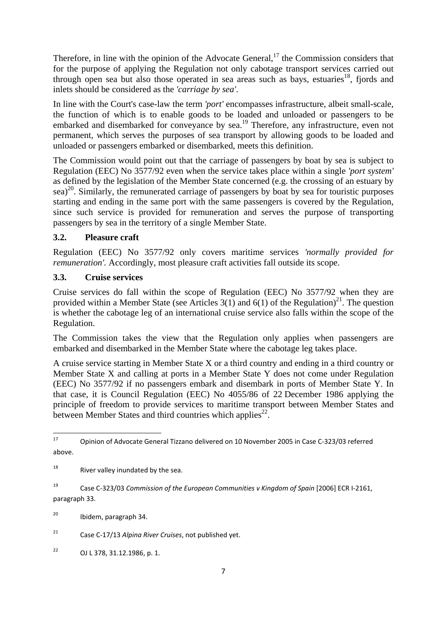Therefore, in line with the opinion of the Advocate General,<sup>17</sup> the Commission considers that for the purpose of applying the Regulation not only cabotage transport services carried out through open sea but also those operated in sea areas such as bays, estuaries<sup>18</sup>, fjords and inlets should be considered as the *'carriage by sea'*.

In line with the Court's case-law the term *'port'* encompasses infrastructure, albeit small-scale, the function of which is to enable goods to be loaded and unloaded or passengers to be embarked and disembarked for conveyance by sea.19 Therefore, any infrastructure, even not permanent, which serves the purposes of sea transport by allowing goods to be loaded and unloaded or passengers embarked or disembarked, meets this definition.

The Commission would point out that the carriage of passengers by boat by sea is subject to Regulation (EEC) No 3577/92 even when the service takes place within a single *'port system'* as defined by the legislation of the Member State concerned (e.g. the crossing of an estuary by sea)<sup>20</sup>. Similarly, the remunerated carriage of passengers by boat by sea for touristic purposes starting and ending in the same port with the same passengers is covered by the Regulation, since such service is provided for remuneration and serves the purpose of transporting passengers by sea in the territory of a single Member State.

## **3.2. Pleasure craft**

Regulation (EEC) No 3577/92 only covers maritime services *'normally provided for remuneration'.* Accordingly, most pleasure craft activities fall outside its scope.

## **3.3. Cruise services**

Cruise services do fall within the scope of Regulation (EEC) No 3577/92 when they are provided within a Member State (see Articles 3(1) and 6(1) of the Regulation)<sup>21</sup>. The question is whether the cabotage leg of an international cruise service also falls within the scope of the Regulation.

The Commission takes the view that the Regulation only applies when passengers are embarked and disembarked in the Member State where the cabotage leg takes place.

A cruise service starting in Member State X or a third country and ending in a third country or Member State X and calling at ports in a Member State Y does not come under Regulation (EEC) No 3577/92 if no passengers embark and disembark in ports of Member State Y. In that case, it is Council Regulation (EEC) No 4055/86 of 22 December 1986 applying the principle of freedom to provide services to maritime transport between Member States and between Member States and third countries which applies $^{22}$ .

 $17$ 17 Opinion of Advocate General Tizzano delivered on 10 November 2005 in Case C-323/03 referred above.

 $18$  River valley inundated by the sea.

<sup>19</sup> Case C-323/03 *Commission of the European Communities v Kingdom of Spain* [2006] ECR I-2161, paragraph 33.

<sup>&</sup>lt;sup>20</sup> Ibidem, paragraph 34.

<sup>21</sup> Case C-17/13 *Alpina River Cruises*, not published yet.

 $^{22}$  OJ L 378, 31.12.1986, p. 1.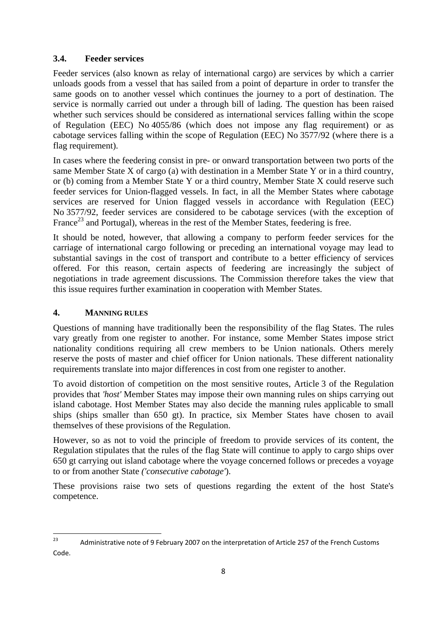### **3.4. Feeder services**

Feeder services (also known as relay of international cargo) are services by which a carrier unloads goods from a vessel that has sailed from a point of departure in order to transfer the same goods on to another vessel which continues the journey to a port of destination. The service is normally carried out under a through bill of lading. The question has been raised whether such services should be considered as international services falling within the scope of Regulation (EEC) No 4055/86 (which does not impose any flag requirement) or as cabotage services falling within the scope of Regulation (EEC) No 3577/92 (where there is a flag requirement).

In cases where the feedering consist in pre- or onward transportation between two ports of the same Member State X of cargo (a) with destination in a Member State Y or in a third country, or (b) coming from a Member State Y or a third country, Member State X could reserve such feeder services for Union-flagged vessels. In fact, in all the Member States where cabotage services are reserved for Union flagged vessels in accordance with Regulation (EEC) No 3577/92, feeder services are considered to be cabotage services (with the exception of France<sup>23</sup> and Portugal), whereas in the rest of the Member States, feedering is free.

It should be noted, however, that allowing a company to perform feeder services for the carriage of international cargo following or preceding an international voyage may lead to substantial savings in the cost of transport and contribute to a better efficiency of services offered. For this reason, certain aspects of feedering are increasingly the subject of negotiations in trade agreement discussions. The Commission therefore takes the view that this issue requires further examination in cooperation with Member States.

### **4. MANNING RULES**

Questions of manning have traditionally been the responsibility of the flag States. The rules vary greatly from one register to another. For instance, some Member States impose strict nationality conditions requiring all crew members to be Union nationals. Others merely reserve the posts of master and chief officer for Union nationals. These different nationality requirements translate into major differences in cost from one register to another.

To avoid distortion of competition on the most sensitive routes, Article 3 of the Regulation provides that *'host'* Member States may impose their own manning rules on ships carrying out island cabotage. Host Member States may also decide the manning rules applicable to small ships (ships smaller than 650 gt). In practice, six Member States have chosen to avail themselves of these provisions of the Regulation.

However, so as not to void the principle of freedom to provide services of its content, the Regulation stipulates that the rules of the flag State will continue to apply to cargo ships over 650 gt carrying out island cabotage where the voyage concerned follows or precedes a voyage to or from another State *('consecutive cabotage'*).

These provisions raise two sets of questions regarding the extent of the host State's competence.

 $2<sup>2</sup>$ Administrative note of 9 February 2007 on the interpretation of Article 257 of the French Customs Code.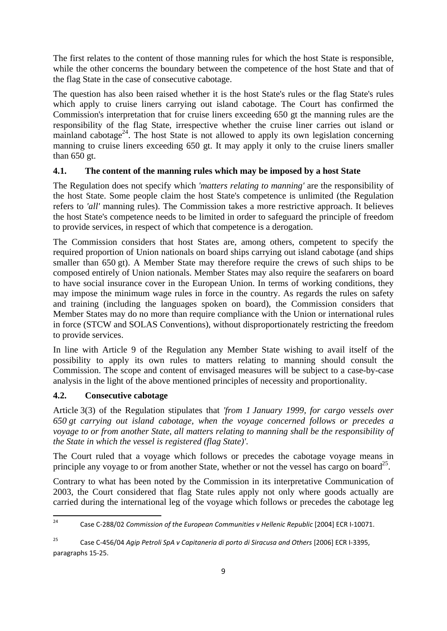The first relates to the content of those manning rules for which the host State is responsible, while the other concerns the boundary between the competence of the host State and that of the flag State in the case of consecutive cabotage.

The question has also been raised whether it is the host State's rules or the flag State's rules which apply to cruise liners carrying out island cabotage. The Court has confirmed the Commission's interpretation that for cruise liners exceeding 650 gt the manning rules are the responsibility of the flag State, irrespective whether the cruise liner carries out island or mainland cabotage<sup>24</sup>. The host State is not allowed to apply its own legislation concerning manning to cruise liners exceeding 650 gt. It may apply it only to the cruise liners smaller than 650 gt.

## **4.1. The content of the manning rules which may be imposed by a host State**

The Regulation does not specify which *'matters relating to manning'* are the responsibility of the host State. Some people claim the host State's competence is unlimited (the Regulation refers to *'all'* manning rules). The Commission takes a more restrictive approach. It believes the host State's competence needs to be limited in order to safeguard the principle of freedom to provide services, in respect of which that competence is a derogation.

The Commission considers that host States are, among others, competent to specify the required proportion of Union nationals on board ships carrying out island cabotage (and ships smaller than 650 gt). A Member State may therefore require the crews of such ships to be composed entirely of Union nationals. Member States may also require the seafarers on board to have social insurance cover in the European Union. In terms of working conditions, they may impose the minimum wage rules in force in the country. As regards the rules on safety and training (including the languages spoken on board), the Commission considers that Member States may do no more than require compliance with the Union or international rules in force (STCW and SOLAS Conventions), without disproportionately restricting the freedom to provide services.

In line with Article 9 of the Regulation any Member State wishing to avail itself of the possibility to apply its own rules to matters relating to manning should consult the Commission. The scope and content of envisaged measures will be subject to a case-by-case analysis in the light of the above mentioned principles of necessity and proportionality.

## **4.2. Consecutive cabotage**

Article 3(3) of the Regulation stipulates that *'from 1 January 1999, for cargo vessels over 650 gt carrying out island cabotage, when the voyage concerned follows or precedes a voyage to or from another State, all matters relating to manning shall be the responsibility of the State in which the vessel is registered (flag State)'*.

The Court ruled that a voyage which follows or precedes the cabotage voyage means in principle any voyage to or from another State, whether or not the vessel has cargo on board<sup>25</sup>.

Contrary to what has been noted by the Commission in its interpretative Communication of 2003, the Court considered that flag State rules apply not only where goods actually are carried during the international leg of the voyage which follows or precedes the cabotage leg

 $24$ 24 Case C-288/02 *Commission of the European Communities v Hellenic Republic* [2004] ECR I-10071.

<sup>25</sup> Case C-456/04 *Agip Petroli SpA v Capitaneria di porto di Siracusa and Others* [2006] ECR I-3395, paragraphs 15-25.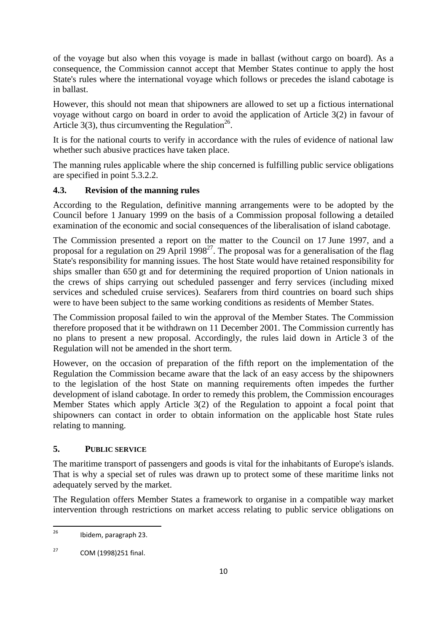of the voyage but also when this voyage is made in ballast (without cargo on board). As a consequence, the Commission cannot accept that Member States continue to apply the host State's rules where the international voyage which follows or precedes the island cabotage is in ballast.

However, this should not mean that shipowners are allowed to set up a fictious international voyage without cargo on board in order to avoid the application of Article 3(2) in favour of Article 3(3), thus circumventing the Regulation<sup>26</sup>.

It is for the national courts to verify in accordance with the rules of evidence of national law whether such abusive practices have taken place.

The manning rules applicable where the ship concerned is fulfilling public service obligations are specified in point 5.3.2.2.

## **4.3. Revision of the manning rules**

According to the Regulation, definitive manning arrangements were to be adopted by the Council before 1 January 1999 on the basis of a Commission proposal following a detailed examination of the economic and social consequences of the liberalisation of island cabotage.

The Commission presented a report on the matter to the Council on 17 June 1997, and a proposal for a regulation on 29 April  $1998^{27}$ . The proposal was for a generalisation of the flag State's responsibility for manning issues. The host State would have retained responsibility for ships smaller than 650 gt and for determining the required proportion of Union nationals in the crews of ships carrying out scheduled passenger and ferry services (including mixed services and scheduled cruise services). Seafarers from third countries on board such ships were to have been subject to the same working conditions as residents of Member States.

The Commission proposal failed to win the approval of the Member States. The Commission therefore proposed that it be withdrawn on 11 December 2001. The Commission currently has no plans to present a new proposal. Accordingly, the rules laid down in Article 3 of the Regulation will not be amended in the short term.

However, on the occasion of preparation of the fifth report on the implementation of the Regulation the Commission became aware that the lack of an easy access by the shipowners to the legislation of the host State on manning requirements often impedes the further development of island cabotage. In order to remedy this problem, the Commission encourages Member States which apply Article 3(2) of the Regulation to appoint a focal point that shipowners can contact in order to obtain information on the applicable host State rules relating to manning.

## **5. PUBLIC SERVICE**

The maritime transport of passengers and goods is vital for the inhabitants of Europe's islands. That is why a special set of rules was drawn up to protect some of these maritime links not adequately served by the market.

The Regulation offers Member States a framework to organise in a compatible way market intervention through restrictions on market access relating to public service obligations on

<sup>26</sup> 26 Ibidem, paragraph 23.

 $27$  COM (1998)251 final.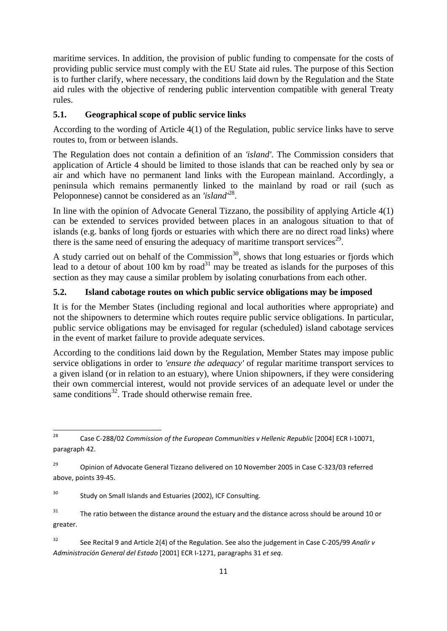maritime services. In addition, the provision of public funding to compensate for the costs of providing public service must comply with the EU State aid rules. The purpose of this Section is to further clarify, where necessary, the conditions laid down by the Regulation and the State aid rules with the objective of rendering public intervention compatible with general Treaty rules.

## **5.1. Geographical scope of public service links**

According to the wording of Article 4(1) of the Regulation, public service links have to serve routes to, from or between islands.

The Regulation does not contain a definition of an *'island'*. The Commission considers that application of Article 4 should be limited to those islands that can be reached only by sea or air and which have no permanent land links with the European mainland. Accordingly, a peninsula which remains permanently linked to the mainland by road or rail (such as Peloponnese) cannot be considered as an *'island'*28.

In line with the opinion of Advocate General Tizzano, the possibility of applying Article 4(1) can be extended to services provided between places in an analogous situation to that of islands (e.g. banks of long fjords or estuaries with which there are no direct road links) where there is the same need of ensuring the adequacy of maritime transport services<sup>29</sup>.

A study carried out on behalf of the Commission<sup>30</sup>, shows that long estuaries or fjords which lead to a detour of about 100 km by road<sup>31</sup> may be treated as islands for the purposes of this section as they may cause a similar problem by isolating conurbations from each other.

## **5.2. Island cabotage routes on which public service obligations may be imposed**

It is for the Member States (including regional and local authorities where appropriate) and not the shipowners to determine which routes require public service obligations. In particular, public service obligations may be envisaged for regular (scheduled) island cabotage services in the event of market failure to provide adequate services.

According to the conditions laid down by the Regulation, Member States may impose public service obligations in order to *'ensure the adequacy'* of regular maritime transport services to a given island (or in relation to an estuary), where Union shipowners, if they were considering their own commercial interest, would not provide services of an adequate level or under the same conditions<sup>32</sup>. Trade should otherwise remain free.

<sup>30</sup> Study on Small Islands and Estuaries (2002), ICF Consulting.

 $31$  The ratio between the distance around the estuary and the distance across should be around 10 or greater.

32 See Recital 9 and Article 2(4) of the Regulation. See also the judgement in Case C-205/99 *Analir v Administración General del Estado* [2001] ECR I-1271, paragraphs 31 *et seq*.

<sup>28</sup> 28 Case C-288/02 *Commission of the European Communities v Hellenic Republic* [2004] ECR I-10071, paragraph 42.

<sup>&</sup>lt;sup>29</sup> Opinion of Advocate General Tizzano delivered on 10 November 2005 in Case C-323/03 referred above, points 39-45.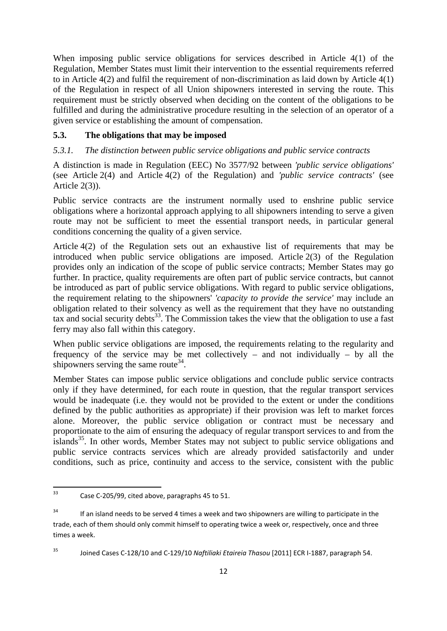When imposing public service obligations for services described in Article 4(1) of the Regulation, Member States must limit their intervention to the essential requirements referred to in Article 4(2) and fulfil the requirement of non-discrimination as laid down by Article 4(1) of the Regulation in respect of all Union shipowners interested in serving the route. This requirement must be strictly observed when deciding on the content of the obligations to be fulfilled and during the administrative procedure resulting in the selection of an operator of a given service or establishing the amount of compensation.

### **5.3. The obligations that may be imposed**

### *5.3.1. The distinction between public service obligations and public service contracts*

A distinction is made in Regulation (EEC) No 3577/92 between *'public service obligations'* (see Article 2(4) and Article 4(2) of the Regulation) and *'public service contracts'* (see Article 2(3)).

Public service contracts are the instrument normally used to enshrine public service obligations where a horizontal approach applying to all shipowners intending to serve a given route may not be sufficient to meet the essential transport needs, in particular general conditions concerning the quality of a given service.

Article 4(2) of the Regulation sets out an exhaustive list of requirements that may be introduced when public service obligations are imposed. Article 2(3) of the Regulation provides only an indication of the scope of public service contracts; Member States may go further. In practice, quality requirements are often part of public service contracts, but cannot be introduced as part of public service obligations. With regard to public service obligations, the requirement relating to the shipowners' *'capacity to provide the service'* may include an obligation related to their solvency as well as the requirement that they have no outstanding tax and social security debts<sup>33</sup>. The Commission takes the view that the obligation to use a fast ferry may also fall within this category.

When public service obligations are imposed, the requirements relating to the regularity and frequency of the service may be met collectively – and not individually – by all the shipowners serving the same route<sup>34</sup>.

Member States can impose public service obligations and conclude public service contracts only if they have determined, for each route in question, that the regular transport services would be inadequate (i.e. they would not be provided to the extent or under the conditions defined by the public authorities as appropriate) if their provision was left to market forces alone. Moreover, the public service obligation or contract must be necessary and proportionate to the aim of ensuring the adequacy of regular transport services to and from the islands<sup>35</sup>. In other words, Member States may not subject to public service obligations and public service contracts services which are already provided satisfactorily and under conditions, such as price, continuity and access to the service, consistent with the public

 $33$ Case C-205/99, cited above, paragraphs 45 to 51.

 $34$  If an island needs to be served 4 times a week and two shipowners are willing to participate in the trade, each of them should only commit himself to operating twice a week or, respectively, once and three times a week.

<sup>35</sup> Joined Cases C-128/10 and C-129/10 *Naftiliaki Etaireia Thasou* [2011] ECR I-1887, paragraph 54.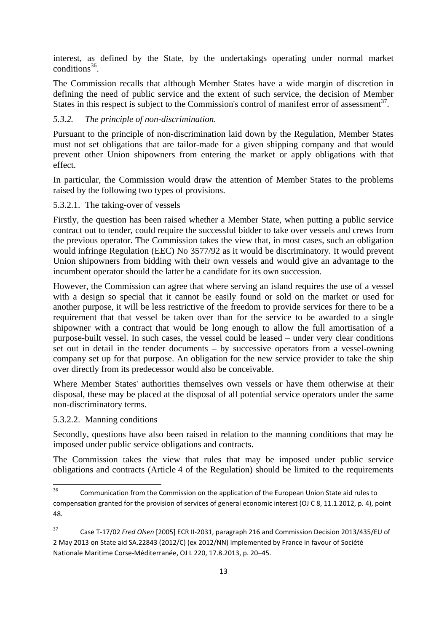interest, as defined by the State, by the undertakings operating under normal market conditions $36$ .

The Commission recalls that although Member States have a wide margin of discretion in defining the need of public service and the extent of such service, the decision of Member States in this respect is subject to the Commission's control of manifest error of assessment<sup>37</sup>.

### *5.3.2. The principle of non-discrimination.*

Pursuant to the principle of non-discrimination laid down by the Regulation, Member States must not set obligations that are tailor-made for a given shipping company and that would prevent other Union shipowners from entering the market or apply obligations with that effect.

In particular, the Commission would draw the attention of Member States to the problems raised by the following two types of provisions.

#### 5.3.2.1. The taking-over of vessels

Firstly, the question has been raised whether a Member State, when putting a public service contract out to tender, could require the successful bidder to take over vessels and crews from the previous operator. The Commission takes the view that, in most cases, such an obligation would infringe Regulation (EEC) No 3577/92 as it would be discriminatory. It would prevent Union shipowners from bidding with their own vessels and would give an advantage to the incumbent operator should the latter be a candidate for its own succession.

However, the Commission can agree that where serving an island requires the use of a vessel with a design so special that it cannot be easily found or sold on the market or used for another purpose, it will be less restrictive of the freedom to provide services for there to be a requirement that that vessel be taken over than for the service to be awarded to a single shipowner with a contract that would be long enough to allow the full amortisation of a purpose-built vessel. In such cases, the vessel could be leased – under very clear conditions set out in detail in the tender documents – by successive operators from a vessel-owning company set up for that purpose. An obligation for the new service provider to take the ship over directly from its predecessor would also be conceivable.

Where Member States' authorities themselves own vessels or have them otherwise at their disposal, these may be placed at the disposal of all potential service operators under the same non-discriminatory terms.

5.3.2.2. Manning conditions

Secondly, questions have also been raised in relation to the manning conditions that may be imposed under public service obligations and contracts.

The Commission takes the view that rules that may be imposed under public service obligations and contracts (Article 4 of the Regulation) should be limited to the requirements

<sup>36</sup> 36 Communication from the Commission on the application of the European Union State aid rules to compensation granted for the provision of services of general economic interest (OJ C 8, 11.1.2012, p. 4), point 48.

<sup>37</sup> Case T-17/02 *Fred Olsen* [2005] ECR II-2031, paragraph 216 and Commission Decision 2013/435/EU of 2 May 2013 on State aid SA.22843 (2012/C) (ex 2012/NN) implemented by France in favour of Société Nationale Maritime Corse-Méditerranée, OJ L 220, 17.8.2013, p. 20–45.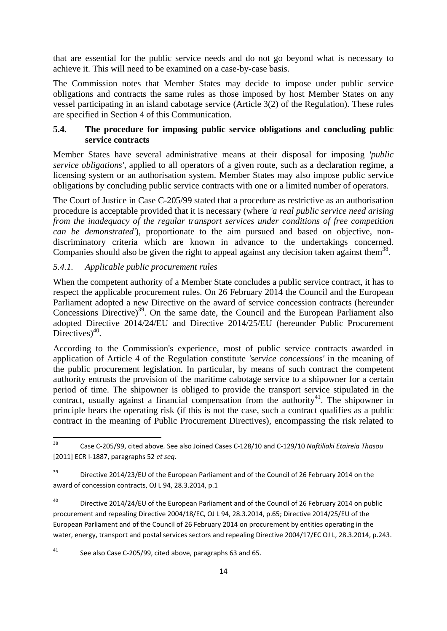that are essential for the public service needs and do not go beyond what is necessary to achieve it. This will need to be examined on a case-by-case basis.

The Commission notes that Member States may decide to impose under public service obligations and contracts the same rules as those imposed by host Member States on any vessel participating in an island cabotage service (Article 3(2) of the Regulation). These rules are specified in Section 4 of this Communication.

### **5.4. The procedure for imposing public service obligations and concluding public service contracts**

Member States have several administrative means at their disposal for imposing *'public service obligations'*, applied to all operators of a given route, such as a declaration regime, a licensing system or an authorisation system. Member States may also impose public service obligations by concluding public service contracts with one or a limited number of operators.

The Court of Justice in Case C-205/99 stated that a procedure as restrictive as an authorisation procedure is acceptable provided that it is necessary (where *'a real public service need arising from the inadequacy of the regular transport services under conditions of free competition can be demonstrated'*), proportionate to the aim pursued and based on objective, nondiscriminatory criteria which are known in advance to the undertakings concerned. Companies should also be given the right to appeal against any decision taken against them<sup>38</sup>.

### *5.4.1. Applicable public procurement rules*

When the competent authority of a Member State concludes a public service contract, it has to respect the applicable procurement rules. On 26 February 2014 the Council and the European Parliament adopted a new Directive on the award of service concession contracts (hereunder Concessions Directive)<sup>39</sup>. On the same date, the Council and the European Parliament also adopted Directive 2014/24/EU and Directive 2014/25/EU (hereunder Public Procurement Directives) $40$ .

According to the Commission's experience, most of public service contracts awarded in application of Article 4 of the Regulation constitute *'service concessions'* in the meaning of the public procurement legislation. In particular, by means of such contract the competent authority entrusts the provision of the maritime cabotage service to a shipowner for a certain period of time. The shipowner is obliged to provide the transport service stipulated in the contract, usually against a financial compensation from the authority<sup>41</sup>. The shipowner in principle bears the operating risk (if this is not the case, such a contract qualifies as a public contract in the meaning of Public Procurement Directives), encompassing the risk related to

<sup>40</sup> Directive 2014/24/EU of the European Parliament and of the Council of 26 February 2014 on public procurement and repealing Directive 2004/18/EC, OJ L 94, 28.3.2014, p.65; Directive 2014/25/EU of the European Parliament and of the Council of 26 February 2014 on procurement by entities operating in the water, energy, transport and postal services sectors and repealing Directive 2004/17/EC OJ L, 28.3.2014, p.243.

#### 41 See also Case C-205/99, cited above, paragraphs 63 and 65.

<sup>38</sup> <sup>38</sup> Case C-205/99, cited above*.* See also Joined Cases C-128/10 and C-129/10 *Naftiliaki Etaireia Thasou* [2011] ECR I-1887, paragraphs 52 *et seq.*

 $39$  Directive 2014/23/EU of the European Parliament and of the Council of 26 February 2014 on the award of concession contracts, OJ L 94, 28.3.2014, p.1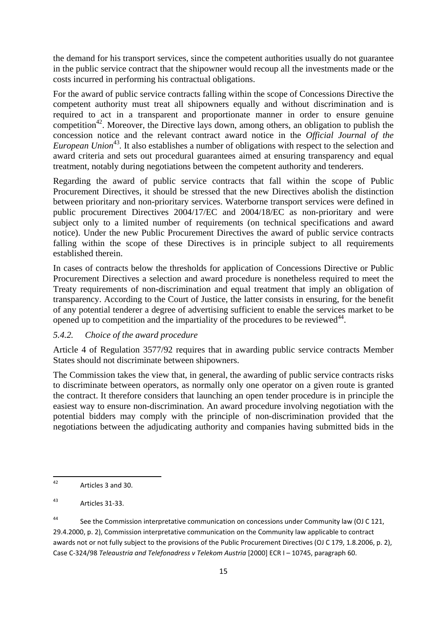the demand for his transport services, since the competent authorities usually do not guarantee in the public service contract that the shipowner would recoup all the investments made or the costs incurred in performing his contractual obligations.

For the award of public service contracts falling within the scope of Concessions Directive the competent authority must treat all shipowners equally and without discrimination and is required to act in a transparent and proportionate manner in order to ensure genuine competition<sup>42</sup>. Moreover, the Directive lays down, among others, an obligation to publish the concession notice and the relevant contract award notice in the *Official Journal of the European Union*<sup>43</sup>. It also establishes a number of obligations with respect to the selection and award criteria and sets out procedural guarantees aimed at ensuring transparency and equal treatment, notably during negotiations between the competent authority and tenderers.

Regarding the award of public service contracts that fall within the scope of Public Procurement Directives, it should be stressed that the new Directives abolish the distinction between prioritary and non-prioritary services. Waterborne transport services were defined in public procurement Directives 2004/17/EC and 2004/18/EC as non-prioritary and were subject only to a limited number of requirements (on technical specifications and award notice). Under the new Public Procurement Directives the award of public service contracts falling within the scope of these Directives is in principle subject to all requirements established therein.

In cases of contracts below the thresholds for application of Concessions Directive or Public Procurement Directives a selection and award procedure is nonetheless required to meet the Treaty requirements of non-discrimination and equal treatment that imply an obligation of transparency. According to the Court of Justice, the latter consists in ensuring, for the benefit of any potential tenderer a degree of advertising sufficient to enable the services market to be opened up to competition and the impartiality of the procedures to be reviewed<sup>44</sup>.

#### *5.4.2. Choice of the award procedure*

Article 4 of Regulation 3577/92 requires that in awarding public service contracts Member States should not discriminate between shipowners.

The Commission takes the view that, in general, the awarding of public service contracts risks to discriminate between operators, as normally only one operator on a given route is granted the contract. It therefore considers that launching an open tender procedure is in principle the easiest way to ensure non-discrimination. An award procedure involving negotiation with the potential bidders may comply with the principle of non-discrimination provided that the negotiations between the adjudicating authority and companies having submitted bids in the

<sup>44</sup> See the Commission interpretative communication on concessions under Community law (OJ C 121, 29.4.2000, p. 2), Commission interpretative communication on the Community law applicable to contract awards not or not fully subject to the provisions of the Public Procurement Directives (OJ C 179, 1.8.2006, p. 2), Case C-324/98 *Teleaustria and Telefonadress v Telekom Austria* [2000] ECR I – 10745, paragraph 60.

 $\overline{12}$ Articles 3 and 30.

<sup>43</sup> Articles 31-33.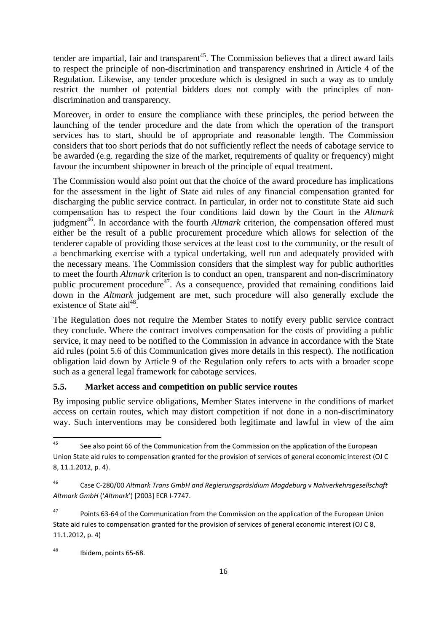tender are impartial, fair and transparent<sup>45</sup>. The Commission believes that a direct award fails to respect the principle of non-discrimination and transparency enshrined in Article 4 of the Regulation. Likewise, any tender procedure which is designed in such a way as to unduly restrict the number of potential bidders does not comply with the principles of nondiscrimination and transparency.

Moreover, in order to ensure the compliance with these principles, the period between the launching of the tender procedure and the date from which the operation of the transport services has to start, should be of appropriate and reasonable length. The Commission considers that too short periods that do not sufficiently reflect the needs of cabotage service to be awarded (e.g. regarding the size of the market, requirements of quality or frequency) might favour the incumbent shipowner in breach of the principle of equal treatment.

The Commission would also point out that the choice of the award procedure has implications for the assessment in the light of State aid rules of any financial compensation granted for discharging the public service contract. In particular, in order not to constitute State aid such compensation has to respect the four conditions laid down by the Court in the *Altmark* judgment<sup>46</sup>. In accordance with the fourth *Altmark* criterion, the compensation offered must either be the result of a public procurement procedure which allows for selection of the tenderer capable of providing those services at the least cost to the community, or the result of a benchmarking exercise with a typical undertaking, well run and adequately provided with the necessary means. The Commission considers that the simplest way for public authorities to meet the fourth *Altmark* criterion is to conduct an open, transparent and non-discriminatory public procurement procedure<sup>47</sup>. As a consequence, provided that remaining conditions laid down in the *Altmark* judgement are met, such procedure will also generally exclude the existence of State aid<sup>48</sup>.

The Regulation does not require the Member States to notify every public service contract they conclude. Where the contract involves compensation for the costs of providing a public service, it may need to be notified to the Commission in advance in accordance with the State aid rules (point 5.6 of this Communication gives more details in this respect). The notification obligation laid down by Article 9 of the Regulation only refers to acts with a broader scope such as a general legal framework for cabotage services.

#### **5.5. Market access and competition on public service routes**

By imposing public service obligations, Member States intervene in the conditions of market access on certain routes, which may distort competition if not done in a non-discriminatory way. Such interventions may be considered both legitimate and lawful in view of the aim

<sup>45</sup> See also point 66 of the Communication from the Commission on the application of the European Union State aid rules to compensation granted for the provision of services of general economic interest (OJ C 8, 11.1.2012, p. 4).

<sup>46</sup> Case C-280/00 *Altmark Trans GmbH and Regierungspräsidium Magdeburg* v *Nahverkehrsgesellschaft Altmark GmbH* ('*Altmark*') [2003] ECR I-7747.

<sup>&</sup>lt;sup>47</sup> Points 63-64 of the Communication from the Commission on the application of the European Union State aid rules to compensation granted for the provision of services of general economic interest (OJ C 8, 11.1.2012, p. 4)

<sup>48</sup> Ibidem, points 65-68.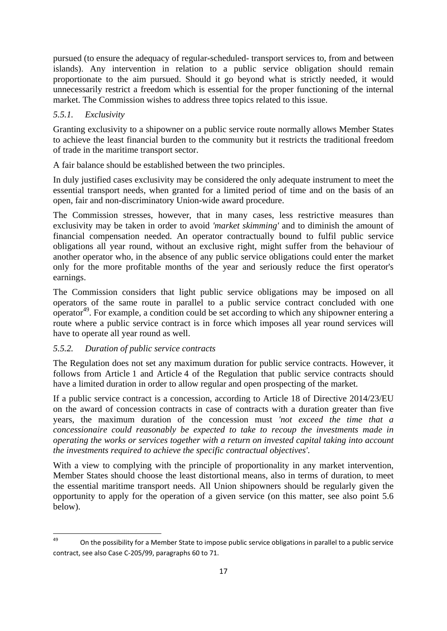pursued (to ensure the adequacy of regular-scheduled- transport services to, from and between islands). Any intervention in relation to a public service obligation should remain proportionate to the aim pursued. Should it go beyond what is strictly needed, it would unnecessarily restrict a freedom which is essential for the proper functioning of the internal market. The Commission wishes to address three topics related to this issue.

## *5.5.1. Exclusivity*

Granting exclusivity to a shipowner on a public service route normally allows Member States to achieve the least financial burden to the community but it restricts the traditional freedom of trade in the maritime transport sector.

A fair balance should be established between the two principles.

In duly justified cases exclusivity may be considered the only adequate instrument to meet the essential transport needs, when granted for a limited period of time and on the basis of an open, fair and non-discriminatory Union-wide award procedure.

The Commission stresses, however, that in many cases, less restrictive measures than exclusivity may be taken in order to avoid *'market skimming'* and to diminish the amount of financial compensation needed. An operator contractually bound to fulfil public service obligations all year round, without an exclusive right, might suffer from the behaviour of another operator who, in the absence of any public service obligations could enter the market only for the more profitable months of the year and seriously reduce the first operator's earnings.

The Commission considers that light public service obligations may be imposed on all operators of the same route in parallel to a public service contract concluded with one operator<sup>49</sup>. For example, a condition could be set according to which any shipowner entering a route where a public service contract is in force which imposes all year round services will have to operate all year round as well.

## *5.5.2. Duration of public service contracts*

The Regulation does not set any maximum duration for public service contracts. However, it follows from Article 1 and Article 4 of the Regulation that public service contracts should have a limited duration in order to allow regular and open prospecting of the market.

If a public service contract is a concession, according to Article 18 of Directive 2014/23/EU on the award of concession contracts in case of contracts with a duration greater than five years, the maximum duration of the concession must *'not exceed the time that a concessionaire could reasonably be expected to take to recoup the investments made in operating the works or services together with a return on invested capital taking into account the investments required to achieve the specific contractual objectives'*.

With a view to complying with the principle of proportionality in any market intervention, Member States should choose the least distortional means, also in terms of duration, to meet the essential maritime transport needs. All Union shipowners should be regularly given the opportunity to apply for the operation of a given service (on this matter, see also point 5.6 below).

 $49$ On the possibility for a Member State to impose public service obligations in parallel to a public service contract, see also Case C-205/99, paragraphs 60 to 71.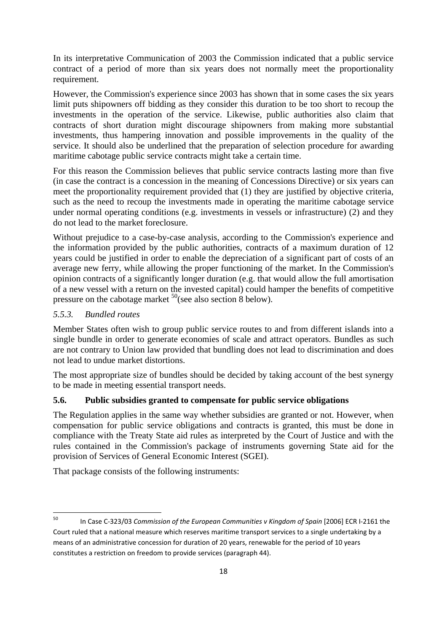In its interpretative Communication of 2003 the Commission indicated that a public service contract of a period of more than six years does not normally meet the proportionality requirement.

However, the Commission's experience since 2003 has shown that in some cases the six years limit puts shipowners off bidding as they consider this duration to be too short to recoup the investments in the operation of the service. Likewise, public authorities also claim that contracts of short duration might discourage shipowners from making more substantial investments, thus hampering innovation and possible improvements in the quality of the service. It should also be underlined that the preparation of selection procedure for awarding maritime cabotage public service contracts might take a certain time.

For this reason the Commission believes that public service contracts lasting more than five (in case the contract is a concession in the meaning of Concessions Directive) or six years can meet the proportionality requirement provided that (1) they are justified by objective criteria, such as the need to recoup the investments made in operating the maritime cabotage service under normal operating conditions (e.g. investments in vessels or infrastructure) (2) and they do not lead to the market foreclosure.

Without prejudice to a case-by-case analysis, according to the Commission's experience and the information provided by the public authorities, contracts of a maximum duration of 12 years could be justified in order to enable the depreciation of a significant part of costs of an average new ferry, while allowing the proper functioning of the market. In the Commission's opinion contracts of a significantly longer duration (e.g. that would allow the full amortisation of a new vessel with a return on the invested capital) could hamper the benefits of competitive pressure on the cabotage market  $^{50}$ (see also section 8 below).

### *5.5.3. Bundled routes*

Member States often wish to group public service routes to and from different islands into a single bundle in order to generate economies of scale and attract operators. Bundles as such are not contrary to Union law provided that bundling does not lead to discrimination and does not lead to undue market distortions.

The most appropriate size of bundles should be decided by taking account of the best synergy to be made in meeting essential transport needs.

#### **5.6. Public subsidies granted to compensate for public service obligations**

The Regulation applies in the same way whether subsidies are granted or not. However, when compensation for public service obligations and contracts is granted, this must be done in compliance with the Treaty State aid rules as interpreted by the Court of Justice and with the rules contained in the Commission's package of instruments governing State aid for the provision of Services of General Economic Interest (SGEI).

That package consists of the following instruments:

<sup>50</sup> 50 In Case C-323/03 *Commission of the European Communities v Kingdom of Spain* [2006] ECR I-2161 the Court ruled that a national measure which reserves maritime transport services to a single undertaking by a means of an administrative concession for duration of 20 years, renewable for the period of 10 years constitutes a restriction on freedom to provide services (paragraph 44).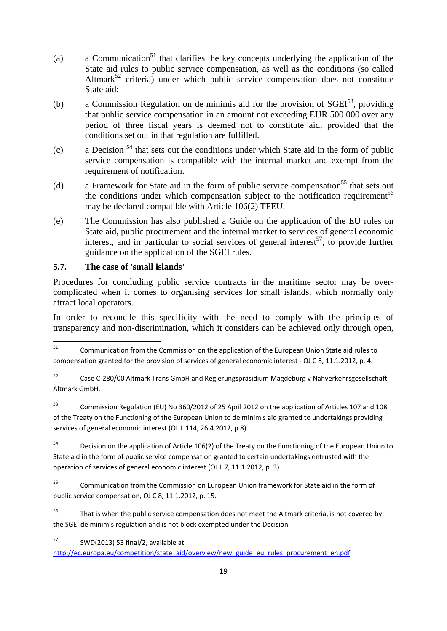- (a) a Communication<sup>51</sup> that clarifies the key concepts underlying the application of the State aid rules to public service compensation, as well as the conditions (so called Altmark<sup>52</sup> criteria) under which public service compensation does not constitute State aid;
- (b) a Commission Regulation on de minimis aid for the provision of  $SGEI^{53}$ , providing that public service compensation in an amount not exceeding EUR 500 000 over any period of three fiscal years is deemed not to constitute aid, provided that the conditions set out in that regulation are fulfilled.
- (c) a Decision  $54$  that sets out the conditions under which State aid in the form of public service compensation is compatible with the internal market and exempt from the requirement of notification.
- (d) a Framework for State aid in the form of public service compensation<sup>55</sup> that sets out the conditions under which compensation subject to the notification requirement<sup>56</sup> may be declared compatible with Article 106(2) TFEU.
- (e) The Commission has also published a Guide on the application of the EU rules on State aid, public procurement and the internal market to services of general economic interest, and in particular to social services of general interest<sup>57</sup>, to provide further guidance on the application of the SGEI rules.

## **5.7. The case of 'small islands'**

Procedures for concluding public service contracts in the maritime sector may be overcomplicated when it comes to organising services for small islands, which normally only attract local operators.

In order to reconcile this specificity with the need to comply with the principles of transparency and non-discrimination, which it considers can be achieved only through open,

52 Case C-280/00 Altmark Trans GmbH and Regierungspräsidium Magdeburg v Nahverkehrsgesellschaft Altmark GmbH.

53 Commission Regulation (EU) No 360/2012 of 25 April 2012 on the application of Articles 107 and 108 of the Treaty on the Functioning of the European Union to de minimis aid granted to undertakings providing services of general economic interest (OL L 114, 26.4.2012, p.8).

<sup>54</sup> Decision on the application of Article 106(2) of the Treaty on the Functioning of the European Union to State aid in the form of public service compensation granted to certain undertakings entrusted with the operation of services of general economic interest (OJ L 7, 11.1.2012, p. 3).

<sup>55</sup> Communication from the Commission on European Union framework for State aid in the form of public service compensation, OJ C 8, 11.1.2012, p. 15.

<sup>56</sup> That is when the public service compensation does not meet the Altmark criteria, is not covered by the SGEI de minimis regulation and is not block exempted under the Decision

57 SWD(2013) 53 final/2, available at

[http://ec.europa.eu/competition/state\\_aid/overview/new\\_guide\\_eu\\_rules\\_procureme](http://ec.europa.eu/competition/state_aid/overview/new_guide_eu_rules_procurement_en.pdf)nt\_en.pdf

<sup>51</sup> 51 Communication from the Commission on the application of the European Union State aid rules to compensation granted for the provision of services of general economic interest - OJ C 8, 11.1.2012, p. 4.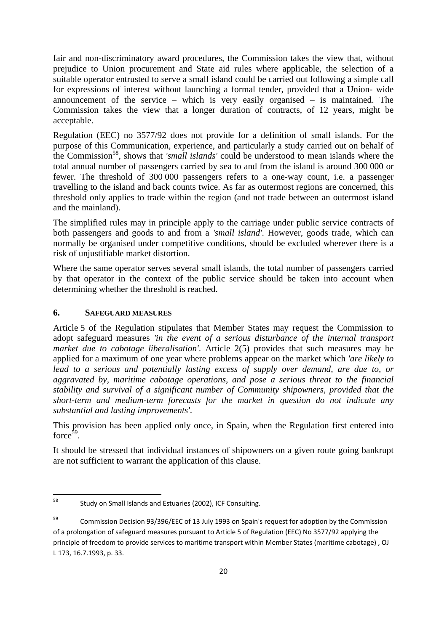fair and non-discriminatory award procedures, the Commission takes the view that, without prejudice to Union procurement and State aid rules where applicable, the selection of a suitable operator entrusted to serve a small island could be carried out following a simple call for expressions of interest without launching a formal tender, provided that a Union- wide announcement of the service – which is very easily organised – is maintained. The Commission takes the view that a longer duration of contracts, of 12 years, might be acceptable.

Regulation (EEC) no 3577/92 does not provide for a definition of small islands. For the purpose of this Communication, experience, and particularly a study carried out on behalf of the Commission58, shows that *'small islands'* could be understood to mean islands where the total annual number of passengers carried by sea to and from the island is around 300 000 or fewer. The threshold of 300 000 passengers refers to a one-way count, i.e. a passenger travelling to the island and back counts twice. As far as outermost regions are concerned, this threshold only applies to trade within the region (and not trade between an outermost island and the mainland).

The simplified rules may in principle apply to the carriage under public service contracts of both passengers and goods to and from a *'small island'*. However, goods trade, which can normally be organised under competitive conditions, should be excluded wherever there is a risk of unjustifiable market distortion.

Where the same operator serves several small islands, the total number of passengers carried by that operator in the context of the public service should be taken into account when determining whether the threshold is reached.

### **6. SAFEGUARD MEASURES**

Article 5 of the Regulation stipulates that Member States may request the Commission to adopt safeguard measures *'in the event of a serious disturbance of the internal transport market due to cabotage liberalisation'*. Article 2(5) provides that such measures may be applied for a maximum of one year where problems appear on the market which *'are likely to lead to a serious and potentially lasting excess of supply over demand, are due to, or aggravated by, maritime cabotage operations, and pose a serious threat to the financial stability and survival of a significant number of Community shipowners, provided that the short-term and medium-term forecasts for the market in question do not indicate any substantial and lasting improvements'*.

This provision has been applied only once, in Spain, when the Regulation first entered into  $force<sup>59</sup>$ .

It should be stressed that individual instances of shipowners on a given route going bankrupt are not sufficient to warrant the application of this clause.

<sup>58</sup> Study on Small Islands and Estuaries (2002), ICF Consulting.

 $59$  Commission Decision 93/396/EEC of 13 July 1993 on Spain's request for adoption by the Commission of a prolongation of safeguard measures pursuant to Article 5 of Regulation (EEC) No 3577/92 applying the principle of freedom to provide services to maritime transport within Member States (maritime cabotage) , OJ L 173, 16.7.1993, p. 33.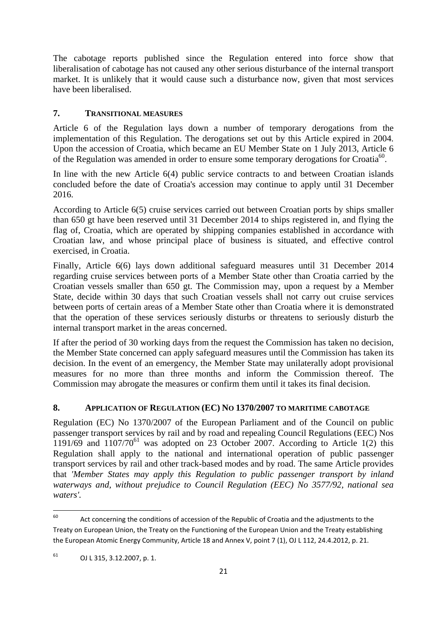The cabotage reports published since the Regulation entered into force show that liberalisation of cabotage has not caused any other serious disturbance of the internal transport market. It is unlikely that it would cause such a disturbance now, given that most services have been liberalised.

## **7. TRANSITIONAL MEASURES**

Article 6 of the Regulation lays down a number of temporary derogations from the implementation of this Regulation. The derogations set out by this Article expired in 2004. Upon the accession of Croatia, which became an EU Member State on 1 July 2013, Article 6 of the Regulation was amended in order to ensure some temporary derogations for Croatia<sup>60</sup>.

In line with the new Article 6(4) public service contracts to and between Croatian islands concluded before the date of Croatia's accession may continue to apply until 31 December 2016.

According to Article 6(5) cruise services carried out between Croatian ports by ships smaller than 650 gt have been reserved until 31 December 2014 to ships registered in, and flying the flag of, Croatia, which are operated by shipping companies established in accordance with Croatian law, and whose principal place of business is situated, and effective control exercised, in Croatia.

Finally, Article 6(6) lays down additional safeguard measures until 31 December 2014 regarding cruise services between ports of a Member State other than Croatia carried by the Croatian vessels smaller than 650 gt. The Commission may, upon a request by a Member State, decide within 30 days that such Croatian vessels shall not carry out cruise services between ports of certain areas of a Member State other than Croatia where it is demonstrated that the operation of these services seriously disturbs or threatens to seriously disturb the internal transport market in the areas concerned.

If after the period of 30 working days from the request the Commission has taken no decision, the Member State concerned can apply safeguard measures until the Commission has taken its decision. In the event of an emergency, the Member State may unilaterally adopt provisional measures for no more than three months and inform the Commission thereof. The Commission may abrogate the measures or confirm them until it takes its final decision.

## **8. APPLICATION OF REGULATION (EC) NO 1370/2007 TO MARITIME CABOTAGE**

Regulation (EC) No 1370/2007 of the European Parliament and of the Council on public passenger transport services by rail and by road and repealing Council Regulations (EEC) Nos  $1191/69$  and  $1107/70^{61}$  was adopted on 23 October 2007. According to Article 1(2) this Regulation shall apply to the national and international operation of public passenger transport services by rail and other track-based modes and by road. The same Article provides that *'Member States may apply this Regulation to public passenger transport by inland waterways and, without prejudice to Council Regulation (EEC) No 3577/92, national sea waters'.* 

<sup>60</sup> Act concerning the conditions of accession of the Republic of Croatia and the adjustments to the Treaty on European Union, the Treaty on the Functioning of the European Union and the Treaty establishing the European Atomic Energy Community, Article 18 and Annex V, point 7 (1), OJ L 112, 24.4.2012, p. 21.

 $^{61}$  OJ L 315, 3.12.2007, p. 1.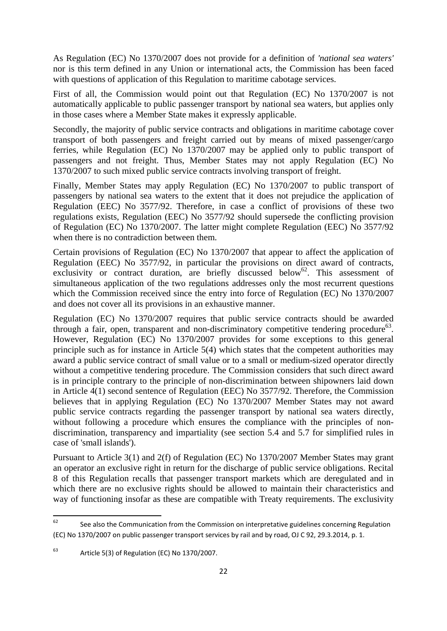As Regulation (EC) No 1370/2007 does not provide for a definition of *'national sea waters'* nor is this term defined in any Union or international acts, the Commission has been faced with questions of application of this Regulation to maritime cabotage services.

First of all, the Commission would point out that Regulation (EC) No 1370/2007 is not automatically applicable to public passenger transport by national sea waters, but applies only in those cases where a Member State makes it expressly applicable.

Secondly, the majority of public service contracts and obligations in maritime cabotage cover transport of both passengers and freight carried out by means of mixed passenger/cargo ferries, while Regulation (EC) No 1370/2007 may be applied only to public transport of passengers and not freight. Thus, Member States may not apply Regulation (EC) No 1370/2007 to such mixed public service contracts involving transport of freight.

Finally, Member States may apply Regulation (EC) No 1370/2007 to public transport of passengers by national sea waters to the extent that it does not prejudice the application of Regulation (EEC) No 3577/92. Therefore, in case a conflict of provisions of these two regulations exists, Regulation (EEC) No 3577/92 should supersede the conflicting provision of Regulation (EC) No 1370/2007. The latter might complete Regulation (EEC) No 3577/92 when there is no contradiction between them.

Certain provisions of Regulation (EC) No 1370/2007 that appear to affect the application of Regulation (EEC) No 3577/92, in particular the provisions on direct award of contracts, exclusivity or contract duration, are briefly discussed below<sup>62</sup>. This assessment of simultaneous application of the two regulations addresses only the most recurrent questions which the Commission received since the entry into force of Regulation (EC) No 1370/2007 and does not cover all its provisions in an exhaustive manner.

Regulation (EC) No 1370/2007 requires that public service contracts should be awarded through a fair, open, transparent and non-discriminatory competitive tendering procedure<sup>63</sup>. However, Regulation (EC) No 1370/2007 provides for some exceptions to this general principle such as for instance in Article 5(4) which states that the competent authorities may award a public service contract of small value or to a small or medium-sized operator directly without a competitive tendering procedure. The Commission considers that such direct award is in principle contrary to the principle of non-discrimination between shipowners laid down in Article 4(1) second sentence of Regulation (EEC) No 3577/92. Therefore, the Commission believes that in applying Regulation (EC) No 1370/2007 Member States may not award public service contracts regarding the passenger transport by national sea waters directly, without following a procedure which ensures the compliance with the principles of nondiscrimination, transparency and impartiality (see section 5.4 and 5.7 for simplified rules in case of 'small islands').

Pursuant to Article 3(1) and 2(f) of Regulation (EC) No 1370/2007 Member States may grant an operator an exclusive right in return for the discharge of public service obligations. Recital 8 of this Regulation recalls that passenger transport markets which are deregulated and in which there are no exclusive rights should be allowed to maintain their characteristics and way of functioning insofar as these are compatible with Treaty requirements. The exclusivity

<sup>62</sup> See also the Communication from the Commission on interpretative guidelines concerning Regulation (EC) No 1370/2007 on public passenger transport services by rail and by road, OJ C 92, 29.3.2014, p. 1.

 $63$  Article 5(3) of Regulation (EC) No 1370/2007.